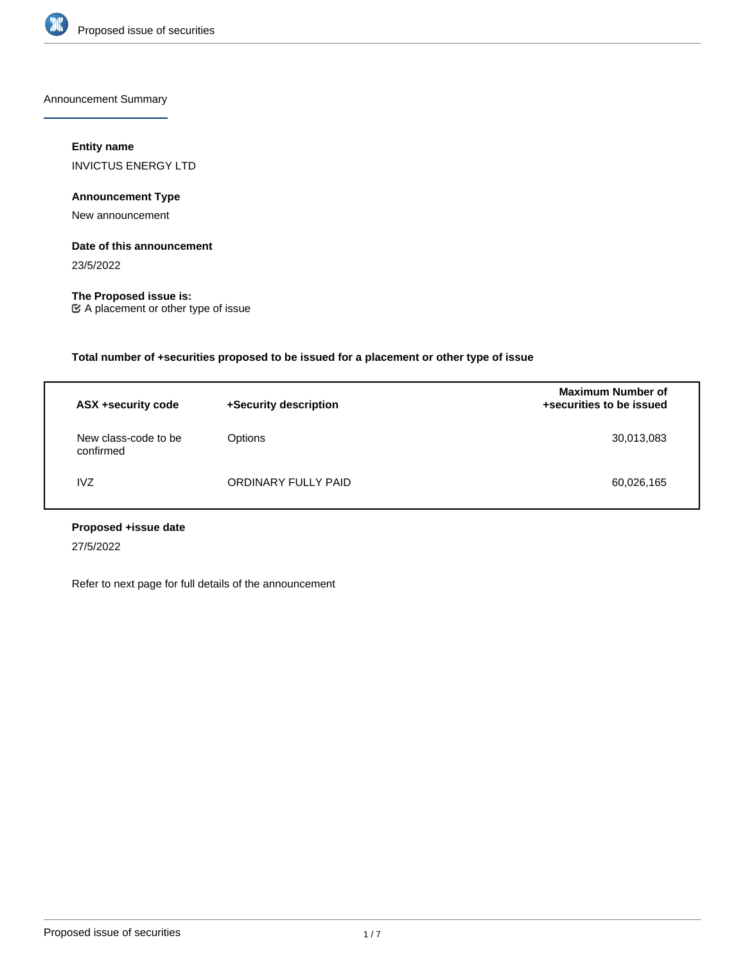

Announcement Summary

## **Entity name**

INVICTUS ENERGY LTD

# **Announcement Type**

New announcement

## **Date of this announcement**

23/5/2022

**The Proposed issue is:** A placement or other type of issue

**Total number of +securities proposed to be issued for a placement or other type of issue**

| ASX +security code                | +Security description | <b>Maximum Number of</b><br>+securities to be issued |
|-----------------------------------|-----------------------|------------------------------------------------------|
| New class-code to be<br>confirmed | Options               | 30,013,083                                           |
| <b>IVZ</b>                        | ORDINARY FULLY PAID   | 60,026,165                                           |

# **Proposed +issue date**

27/5/2022

Refer to next page for full details of the announcement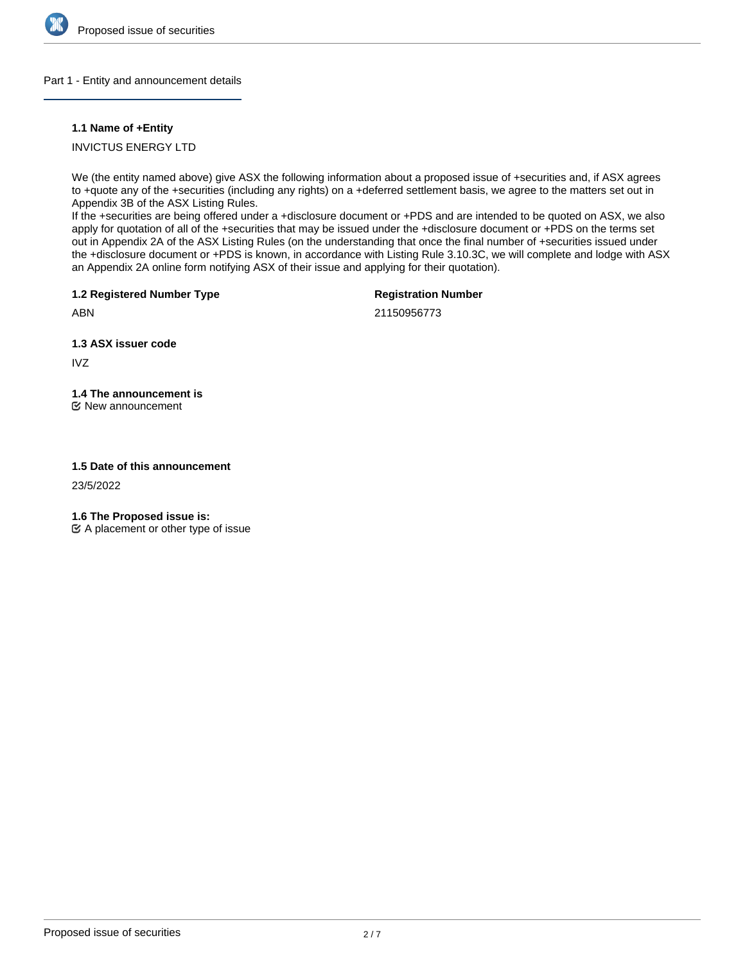

#### Part 1 - Entity and announcement details

#### **1.1 Name of +Entity**

INVICTUS ENERGY LTD

We (the entity named above) give ASX the following information about a proposed issue of +securities and, if ASX agrees to +quote any of the +securities (including any rights) on a +deferred settlement basis, we agree to the matters set out in Appendix 3B of the ASX Listing Rules.

If the +securities are being offered under a +disclosure document or +PDS and are intended to be quoted on ASX, we also apply for quotation of all of the +securities that may be issued under the +disclosure document or +PDS on the terms set out in Appendix 2A of the ASX Listing Rules (on the understanding that once the final number of +securities issued under the +disclosure document or +PDS is known, in accordance with Listing Rule 3.10.3C, we will complete and lodge with ASX an Appendix 2A online form notifying ASX of their issue and applying for their quotation).

**1.2 Registered Number Type**

**Registration Number**

ABN

21150956773

**1.3 ASX issuer code**

IVZ

# **1.4 The announcement is**

New announcement

## **1.5 Date of this announcement**

23/5/2022

**1.6 The Proposed issue is:**

 $\mathfrak{C}$  A placement or other type of issue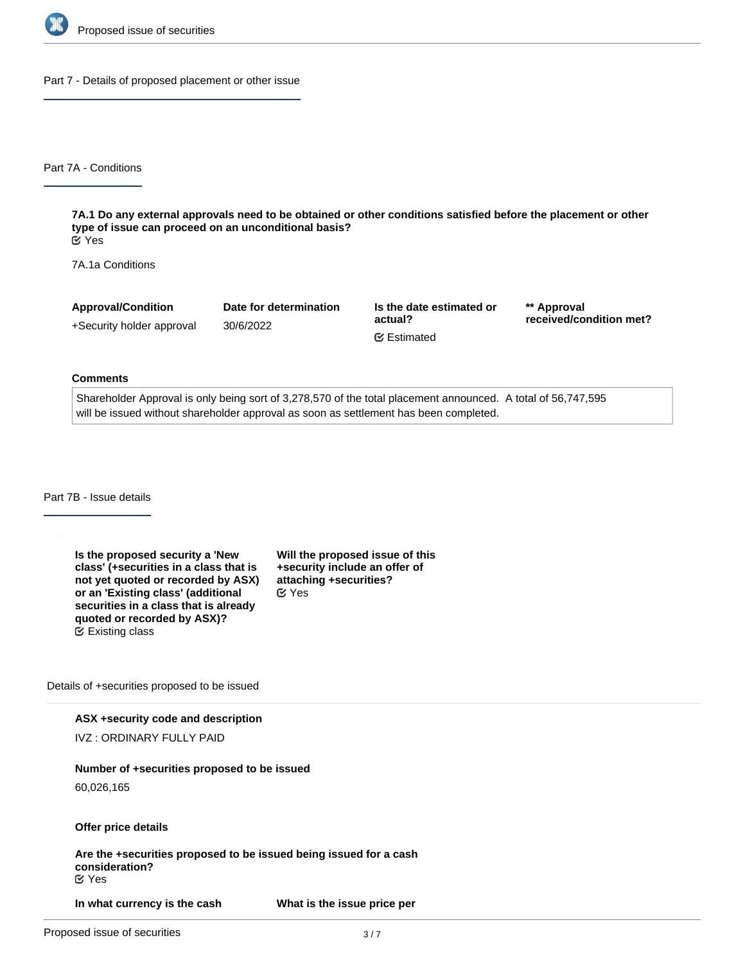

Part 7 - Details of proposed placement or other issue

Part 7A - Conditions

**7A.1 Do any external approvals need to be obtained or other conditions satisfied before the placement or other type of issue can proceed on an unconditional basis?** Yes

7A.1a Conditions

**Approval/Condition** +Security holder approval

30/6/2022

**Date for determination**

**Is the date estimated or actual?** Estimated

**\*\* Approval received/condition met?**

#### **Comments**

Shareholder Approval is only being sort of 3,278,570 of the total placement announced. A total of 56,747,595 will be issued without shareholder approval as soon as settlement has been completed.

Part 7B - Issue details

**Is the proposed security a 'New class' (+securities in a class that is not yet quoted or recorded by ASX) or an 'Existing class' (additional securities in a class that is already quoted or recorded by ASX)?** Existing class

**Will the proposed issue of this +security include an offer of attaching +securities?** Yes

Details of +securities proposed to be issued

#### **ASX +security code and description**

IVZ : ORDINARY FULLY PAID

### **Number of +securities proposed to be issued**

60,026,165

#### **Offer price details**

**Are the +securities proposed to be issued being issued for a cash consideration?** Yes

**In what currency is the cash consideration being paid?**

**What is the issue price per**

**+security?**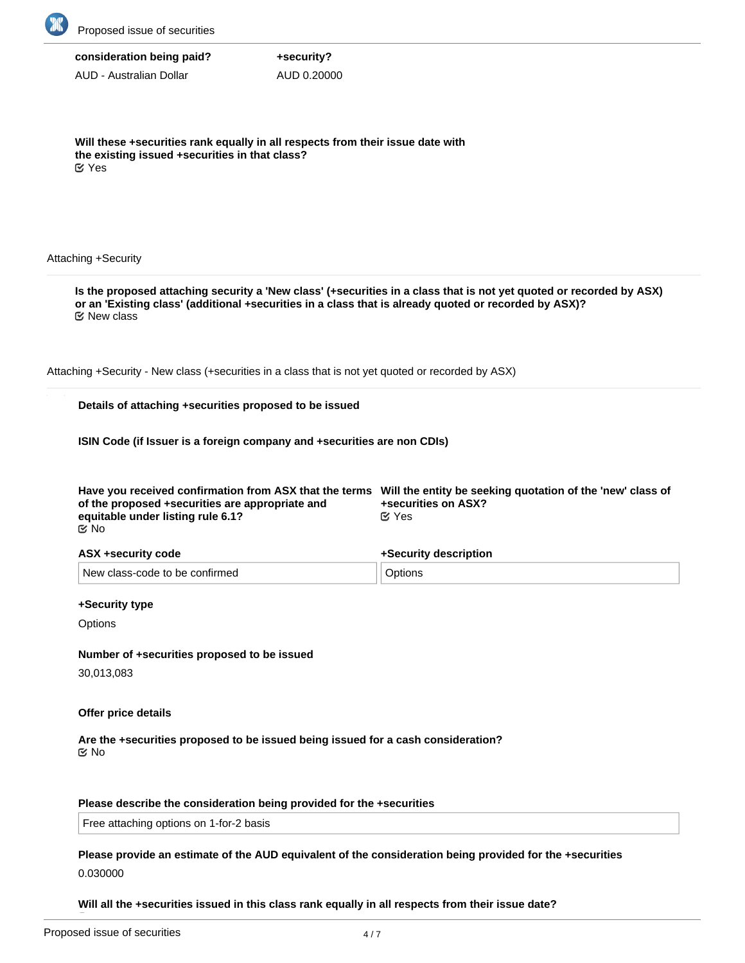

AUD - Australian Dollar

**Will these +securities rank equally in all respects from their issue date with the existing issued +securities in that class?** Yes

**+security?** AUD 0.20000

#### Attaching +Security

**Is the proposed attaching security a 'New class' (+securities in a class that is not yet quoted or recorded by ASX) or an 'Existing class' (additional +securities in a class that is already quoted or recorded by ASX)?** Attaching +Security - New class (+securities in a class that is not yet quoted or recorded by ASX) **Details of attaching +securities proposed to be issued ISIN Code (if Issuer is a foreign company and +securities are non CDIs) Have you received confirmation from ASX that the terms Will the entity be seeking quotation of the 'new' class of of the proposed +securities are appropriate and equitable under listing rule 6.1? +securities on ASX? ASX +security code** New class-code to be confirmed **+Security description Options** Yes No New class

#### **+Security type**

**Options** 

#### **Number of +securities proposed to be issued**

30,013,083

#### **Offer price details**

**Are the +securities proposed to be issued being issued for a cash consideration? K** No

#### **Please describe the consideration being provided for the +securities**

Free attaching options on 1-for-2 basis

## **Please provide an estimate of the AUD equivalent of the consideration being provided for the +securities** 0.030000

**Will all the +securities issued in this class rank equally in all respects from their issue date?**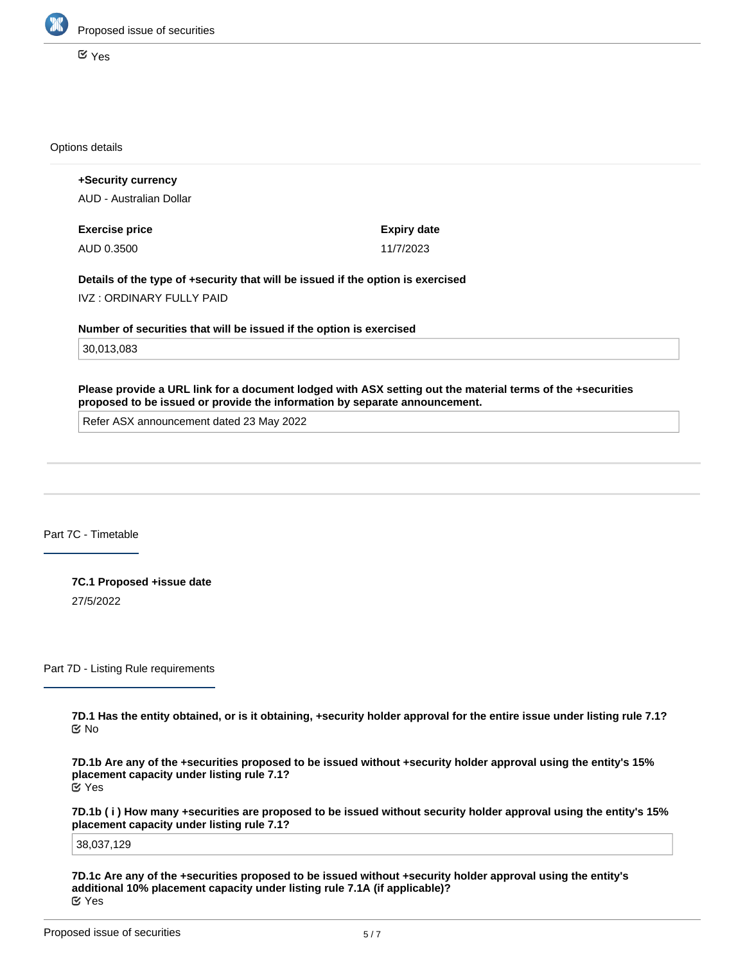

Yes

Options details

**+Security currency** AUD - Australian Dollar **Exercise price** AUD 0.3500 **Expiry date** 11/7/2023 **Details of the type of +security that will be issued if the option is exercised** IVZ : ORDINARY FULLY PAID **Number of securities that will be issued if the option is exercised** 30,013,083

**Please provide a URL link for a document lodged with ASX setting out the material terms of the +securities proposed to be issued or provide the information by separate announcement.**

Refer ASX announcement dated 23 May 2022

Part 7C - Timetable

**7C.1 Proposed +issue date** 27/5/2022

Part 7D - Listing Rule requirements

**7D.1 Has the entity obtained, or is it obtaining, +security holder approval for the entire issue under listing rule 7.1?** No

**7D.1b Are any of the +securities proposed to be issued without +security holder approval using the entity's 15% placement capacity under listing rule 7.1?** Yes

**7D.1b ( i ) How many +securities are proposed to be issued without security holder approval using the entity's 15% placement capacity under listing rule 7.1?**

38,037,129

**7D.1c Are any of the +securities proposed to be issued without +security holder approval using the entity's additional 10% placement capacity under listing rule 7.1A (if applicable)?** Yes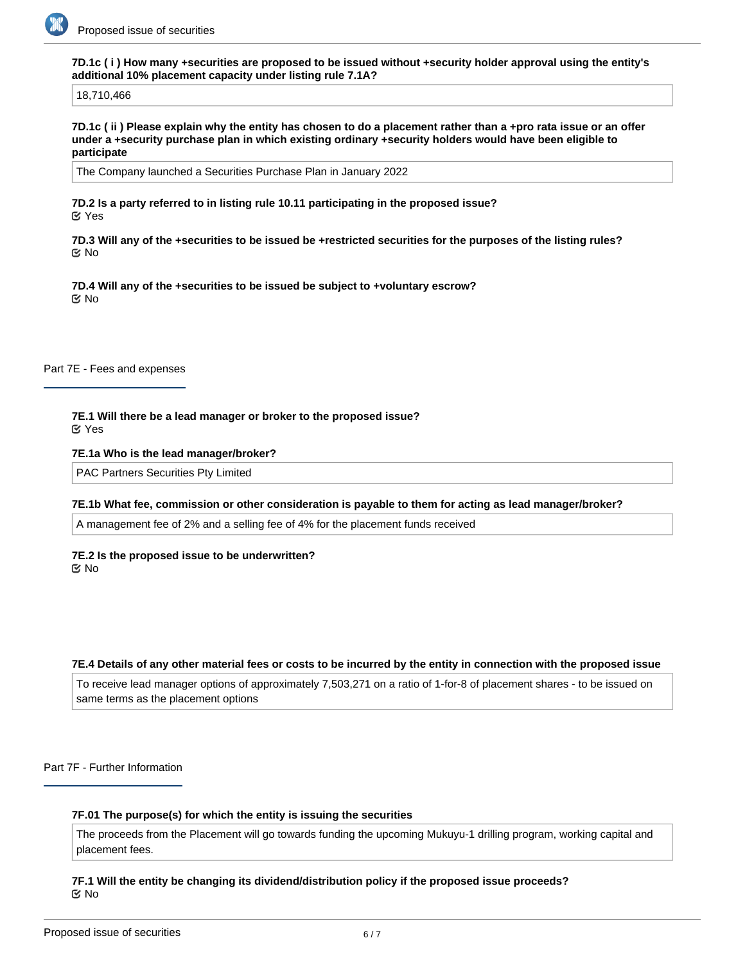

**7D.1c ( i ) How many +securities are proposed to be issued without +security holder approval using the entity's additional 10% placement capacity under listing rule 7.1A?**

18,710,466

**7D.1c ( ii ) Please explain why the entity has chosen to do a placement rather than a +pro rata issue or an offer under a +security purchase plan in which existing ordinary +security holders would have been eligible to participate**

The Company launched a Securities Purchase Plan in January 2022

**7D.2 Is a party referred to in listing rule 10.11 participating in the proposed issue?** Yes

**7D.3 Will any of the +securities to be issued be +restricted securities for the purposes of the listing rules?** No

**7D.4 Will any of the +securities to be issued be subject to +voluntary escrow?** No

Part 7E - Fees and expenses

**7E.1 Will there be a lead manager or broker to the proposed issue?** Yes

**7E.1a Who is the lead manager/broker?**

PAC Partners Securities Pty Limited

#### **7E.1b What fee, commission or other consideration is payable to them for acting as lead manager/broker?**

A management fee of 2% and a selling fee of 4% for the placement funds received

**7E.2 Is the proposed issue to be underwritten?** No

#### **7E.4 Details of any other material fees or costs to be incurred by the entity in connection with the proposed issue**

To receive lead manager options of approximately 7,503,271 on a ratio of 1-for-8 of placement shares - to be issued on same terms as the placement options

Part 7F - Further Information

#### **7F.01 The purpose(s) for which the entity is issuing the securities**

The proceeds from the Placement will go towards funding the upcoming Mukuyu-1 drilling program, working capital and placement fees.

#### **7F.1 Will the entity be changing its dividend/distribution policy if the proposed issue proceeds?** No